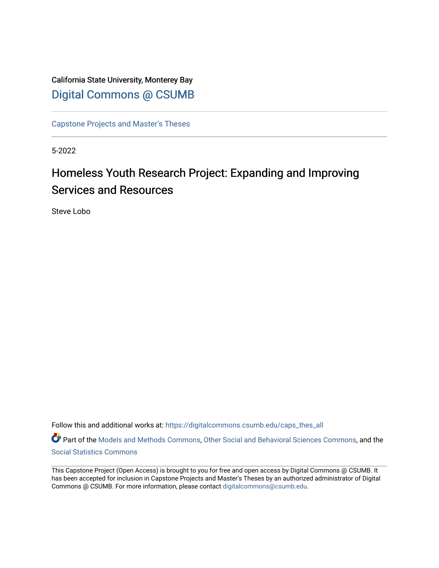## California State University, Monterey Bay [Digital Commons @ CSUMB](https://digitalcommons.csumb.edu/)

[Capstone Projects and Master's Theses](https://digitalcommons.csumb.edu/caps_thes_all)

5-2022

# Homeless Youth Research Project: Expanding and Improving Services and Resources

Steve Lobo

Follow this and additional works at: [https://digitalcommons.csumb.edu/caps\\_thes\\_all](https://digitalcommons.csumb.edu/caps_thes_all?utm_source=digitalcommons.csumb.edu%2Fcaps_thes_all%2F1294&utm_medium=PDF&utm_campaign=PDFCoverPages)

Part of the [Models and Methods Commons,](https://network.bepress.com/hgg/discipline/390?utm_source=digitalcommons.csumb.edu%2Fcaps_thes_all%2F1294&utm_medium=PDF&utm_campaign=PDFCoverPages) [Other Social and Behavioral Sciences Commons](https://network.bepress.com/hgg/discipline/437?utm_source=digitalcommons.csumb.edu%2Fcaps_thes_all%2F1294&utm_medium=PDF&utm_campaign=PDFCoverPages), and the [Social Statistics Commons](https://network.bepress.com/hgg/discipline/1275?utm_source=digitalcommons.csumb.edu%2Fcaps_thes_all%2F1294&utm_medium=PDF&utm_campaign=PDFCoverPages) 

This Capstone Project (Open Access) is brought to you for free and open access by Digital Commons @ CSUMB. It has been accepted for inclusion in Capstone Projects and Master's Theses by an authorized administrator of Digital Commons @ CSUMB. For more information, please contact [digitalcommons@csumb.edu](mailto:digitalcommons@csumb.edu).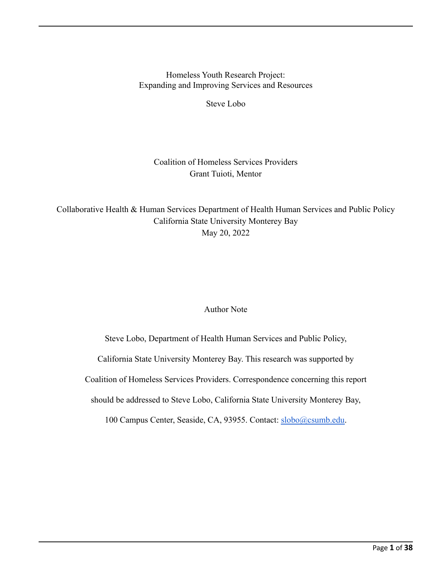Homeless Youth Research Project: Expanding and Improving Services and Resources

Steve Lobo

## Coalition of Homeless Services Providers Grant Tuioti, Mentor

Collaborative Health & Human Services Department of Health Human Services and Public Policy California State University Monterey Bay May 20, 2022

## Author Note

Steve Lobo, Department of Health Human Services and Public Policy, California State University Monterey Bay. This research was supported by Coalition of Homeless Services Providers. Correspondence concerning this report should be addressed to Steve Lobo, California State University Monterey Bay, 100 Campus Center, Seaside, CA, 93955. Contact: [slobo@csumb.edu.](mailto:slobo@csumb.edu)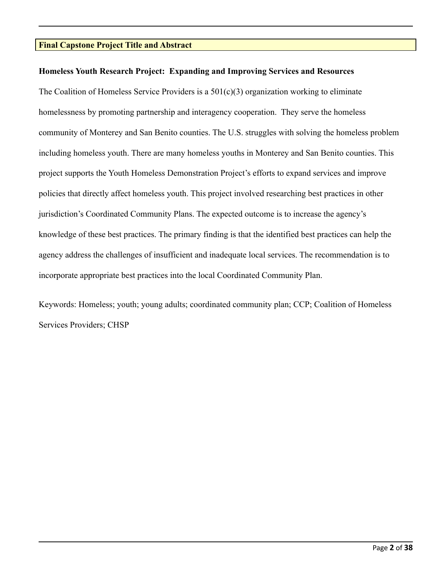#### **Final Capstone Project Title and Abstract**

#### **Homeless Youth Research Project: Expanding and Improving Services and Resources**

The Coalition of Homeless Service Providers is a 501(c)(3) organization working to eliminate homelessness by promoting partnership and interagency cooperation. They serve the homeless community of Monterey and San Benito counties. The U.S. struggles with solving the homeless problem including homeless youth. There are many homeless youths in Monterey and San Benito counties. This project supports the Youth Homeless Demonstration Project's efforts to expand services and improve policies that directly affect homeless youth. This project involved researching best practices in other jurisdiction's Coordinated Community Plans. The expected outcome is to increase the agency's knowledge of these best practices. The primary finding is that the identified best practices can help the agency address the challenges of insufficient and inadequate local services. The recommendation is to incorporate appropriate best practices into the local Coordinated Community Plan.

Keywords: Homeless; youth; young adults; coordinated community plan; CCP; Coalition of Homeless Services Providers; CHSP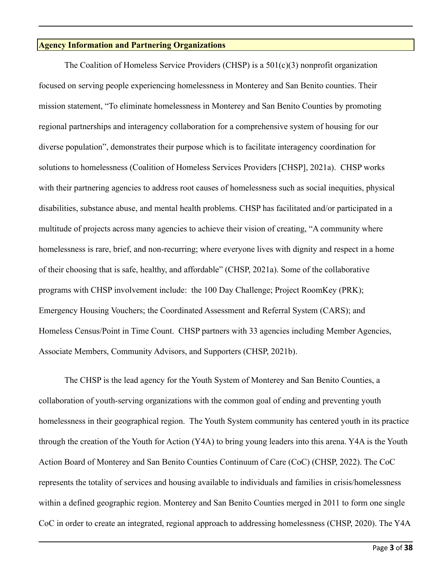#### **Agency Information and Partnering Organizations**

The Coalition of Homeless Service Providers (CHSP) is a 501(c)(3) nonprofit organization focused on serving people experiencing homelessness in Monterey and San Benito counties. Their mission statement, "To eliminate homelessness in Monterey and San Benito Counties by promoting regional partnerships and interagency collaboration for a comprehensive system of housing for our diverse population", demonstrates their purpose which is to facilitate interagency coordination for solutions to homelessness (Coalition of Homeless Services Providers [CHSP], 2021a). CHSP works with their partnering agencies to address root causes of homelessness such as social inequities, physical disabilities, substance abuse, and mental health problems. CHSP has facilitated and/or participated in a multitude of projects across many agencies to achieve their vision of creating, "A community where homelessness is rare, brief, and non-recurring; where everyone lives with dignity and respect in a home of their choosing that is safe, healthy, and affordable" (CHSP, 2021a). Some of the collaborative programs with CHSP involvement include: the 100 Day Challenge; Project RoomKey (PRK); Emergency Housing Vouchers; the Coordinated Assessment and Referral System (CARS); and Homeless Census/Point in Time Count. CHSP partners with 33 agencies including Member Agencies, Associate Members, Community Advisors, and Supporters (CHSP, 2021b).

The CHSP is the lead agency for the Youth System of Monterey and San Benito Counties, a collaboration of youth-serving organizations with the common goal of ending and preventing youth homelessness in their geographical region. The Youth System community has centered youth in its practice through the creation of the Youth for Action (Y4A) to bring young leaders into this arena. Y4A is the Youth Action Board of Monterey and San Benito Counties Continuum of Care (CoC) (CHSP, 2022). The CoC represents the totality of services and housing available to individuals and families in crisis/homelessness within a defined geographic region. Monterey and San Benito Counties merged in 2011 to form one single CoC in order to create an integrated, regional approach to addressing homelessness (CHSP, 2020). The Y4A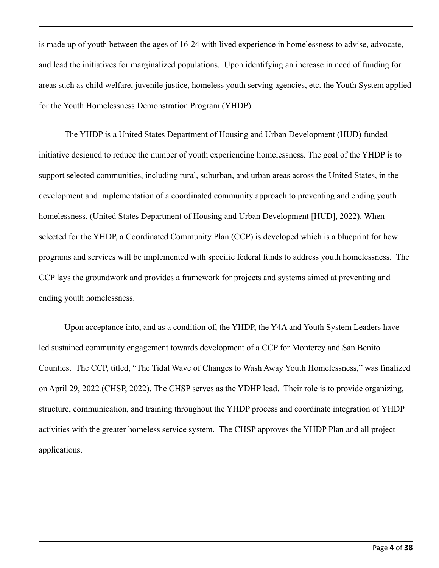is made up of youth between the ages of 16-24 with lived experience in homelessness to advise, advocate, and lead the initiatives for marginalized populations. Upon identifying an increase in need of funding for areas such as child welfare, juvenile justice, homeless youth serving agencies, etc. the Youth System applied for the Youth Homelessness Demonstration Program (YHDP).

The YHDP is a United States Department of Housing and Urban Development (HUD) funded initiative designed to reduce the number of youth experiencing homelessness. The goal of the YHDP is to support selected communities, including rural, suburban, and urban areas across the United States, in the development and implementation of a coordinated community approach to preventing and ending youth homelessness. (United States Department of Housing and Urban Development [HUD], 2022). When selected for the YHDP, a Coordinated Community Plan (CCP) is developed which is a blueprint for how programs and services will be implemented with specific federal funds to address youth homelessness. The CCP lays the groundwork and provides a framework for projects and systems aimed at preventing and ending youth homelessness.

Upon acceptance into, and as a condition of, the YHDP, the Y4A and Youth System Leaders have led sustained community engagement towards development of a CCP for Monterey and San Benito Counties. The CCP, titled, "The Tidal Wave of Changes to Wash Away Youth Homelessness," was finalized on April 29, 2022 (CHSP, 2022). The CHSP serves as the YDHP lead. Their role is to provide organizing, structure, communication, and training throughout the YHDP process and coordinate integration of YHDP activities with the greater homeless service system. The CHSP approves the YHDP Plan and all project applications.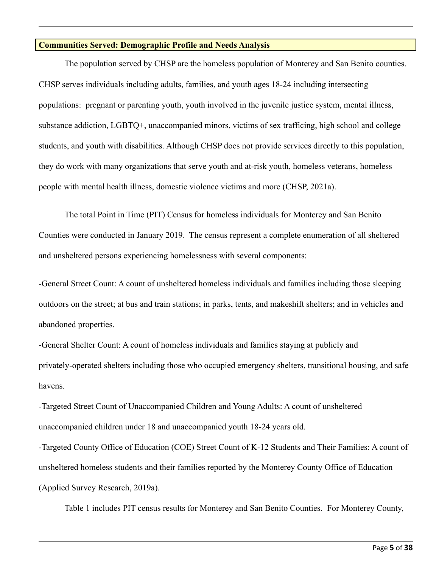#### **Communities Served: Demographic Profile and Needs Analysis**

The population served by CHSP are the homeless population of Monterey and San Benito counties. CHSP serves individuals including adults, families, and youth ages 18-24 including intersecting populations: pregnant or parenting youth, youth involved in the juvenile justice system, mental illness, substance addiction, LGBTQ+, unaccompanied minors, victims of sex trafficing, high school and college students, and youth with disabilities. Although CHSP does not provide services directly to this population, they do work with many organizations that serve youth and at-risk youth, homeless veterans, homeless people with mental health illness, domestic violence victims and more (CHSP, 2021a).

The total Point in Time (PIT) Census for homeless individuals for Monterey and San Benito Counties were conducted in January 2019. The census represent a complete enumeration of all sheltered and unsheltered persons experiencing homelessness with several components:

-General Street Count: A count of unsheltered homeless individuals and families including those sleeping outdoors on the street; at bus and train stations; in parks, tents, and makeshift shelters; and in vehicles and abandoned properties.

-General Shelter Count: A count of homeless individuals and families staying at publicly and privately-operated shelters including those who occupied emergency shelters, transitional housing, and safe havens.

-Targeted Street Count of Unaccompanied Children and Young Adults: A count of unsheltered unaccompanied children under 18 and unaccompanied youth 18-24 years old.

-Targeted County Office of Education (COE) Street Count of K-12 Students and Their Families: A count of unsheltered homeless students and their families reported by the Monterey County Office of Education (Applied Survey Research, 2019a).

Table 1 includes PIT census results for Monterey and San Benito Counties. For Monterey County,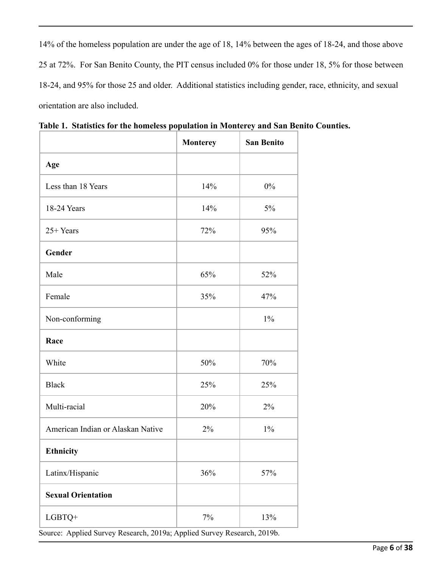14% of the homeless population are under the age of 18, 14% between the ages of 18-24, and those above 25 at 72%. For San Benito County, the PIT census included 0% for those under 18, 5% for those between 18-24, and 95% for those 25 and older. Additional statistics including gender, race, ethnicity, and sexual orientation are also included.

|                                   | <b>Monterey</b> | <b>San Benito</b> |
|-----------------------------------|-----------------|-------------------|
| Age                               |                 |                   |
| Less than 18 Years                | 14%             | $0\%$             |
| 18-24 Years                       | 14%             | 5%                |
| 25+ Years                         | 72%             | 95%               |
| Gender                            |                 |                   |
| Male                              | 65%             | 52%               |
| Female                            | 35%             | 47%               |
| Non-conforming                    |                 | $1\%$             |
| Race                              |                 |                   |
| White                             | 50%             | 70%               |
| <b>Black</b>                      | 25%             | 25%               |
| Multi-racial                      | 20%             | 2%                |
| American Indian or Alaskan Native | 2%              | $1\%$             |
| Ethnicity                         |                 |                   |
| Latinx/Hispanic                   | 36%             | 57%               |
| <b>Sexual Orientation</b>         |                 |                   |
| LGBTQ+                            | $7\%$           | 13%               |

**Table 1. Statistics for the homeless population in Monterey and San Benito Counties.**

Source: Applied Survey Research, 2019a; Applied Survey Research, 2019b.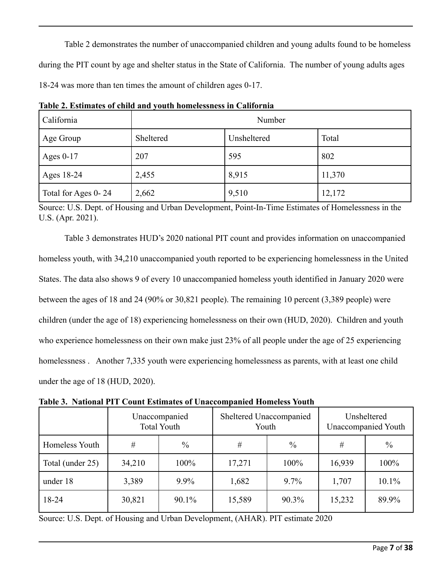Table 2 demonstrates the number of unaccompanied children and young adults found to be homeless during the PIT count by age and shelter status in the State of California. The number of young adults ages 18-24 was more than ten times the amount of children ages 0-17.

| California          | Number    |             |        |
|---------------------|-----------|-------------|--------|
| Age Group           | Sheltered | Unsheltered | Total  |
| Ages $0-17$         | 207       | 595         | 802    |
| Ages 18-24          | 2,455     | 8,915       | 11,370 |
| Total for Ages 0-24 | 2,662     | 9,510       | 12,172 |

**Table 2. Estimates of child and youth homelessness in California**

Source: U.S. Dept. of Housing and Urban Development, Point-In-Time Estimates of Homelessness in the U.S. (Apr. 2021).

Table 3 demonstrates HUD's 2020 national PIT count and provides information on unaccompanied homeless youth, with 34,210 unaccompanied youth reported to be experiencing homelessness in the United States. The data also shows 9 of every 10 unaccompanied homeless youth identified in January 2020 were between the ages of 18 and 24 (90% or 30,821 people). The remaining 10 percent (3,389 people) were children (under the age of 18) experiencing homelessness on their own (HUD, 2020). Children and youth who experience homelessness on their own make just 23% of all people under the age of 25 experiencing homelessness. Another 7,335 youth were experiencing homelessness as parents, with at least one child under the age of 18 (HUD, 2020).

|                  | Unaccompanied<br><b>Total Youth</b> |               | Sheltered Unaccompanied<br>Youth |               | Unsheltered<br><b>Unaccompanied Youth</b> |       |
|------------------|-------------------------------------|---------------|----------------------------------|---------------|-------------------------------------------|-------|
| Homeless Youth   | #                                   | $\frac{0}{0}$ | #                                | $\frac{0}{0}$ | #                                         | $\%$  |
| Total (under 25) | 34,210                              | $100\%$       | 17,271                           | 100%          | 16,939                                    | 100%  |
| under 18         | 3,389                               | $9.9\%$       | 1,682                            | $9.7\%$       | 1,707                                     | 10.1% |
| 18-24            | 30,821                              | 90.1%         | 15,589                           | $90.3\%$      | 15,232                                    | 89.9% |

**Table 3. National PIT Count Estimates of Unaccompanied Homeless Youth**

Source: U.S. Dept. of Housing and Urban Development, (AHAR). PIT estimate 2020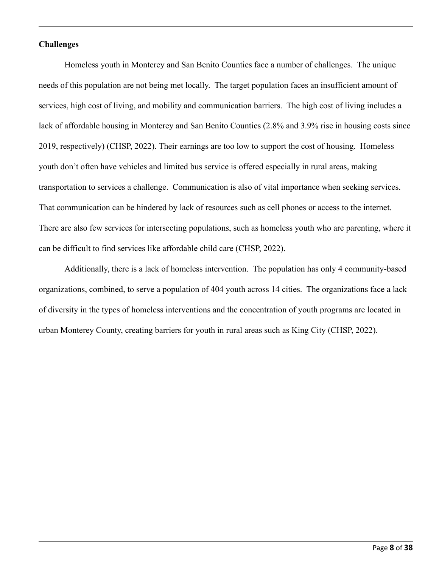#### **Challenges**

Homeless youth in Monterey and San Benito Counties face a number of challenges. The unique needs of this population are not being met locally. The target population faces an insufficient amount of services, high cost of living, and mobility and communication barriers. The high cost of living includes a lack of affordable housing in Monterey and San Benito Counties (2.8% and 3.9% rise in housing costs since 2019, respectively) (CHSP, 2022). Their earnings are too low to support the cost of housing. Homeless youth don't often have vehicles and limited bus service is offered especially in rural areas, making transportation to services a challenge. Communication is also of vital importance when seeking services. That communication can be hindered by lack of resources such as cell phones or access to the internet. There are also few services for intersecting populations, such as homeless youth who are parenting, where it can be difficult to find services like affordable child care (CHSP, 2022).

Additionally, there is a lack of homeless intervention. The population has only 4 community-based organizations, combined, to serve a population of 404 youth across 14 cities. The organizations face a lack of diversity in the types of homeless interventions and the concentration of youth programs are located in urban Monterey County, creating barriers for youth in rural areas such as King City (CHSP, 2022).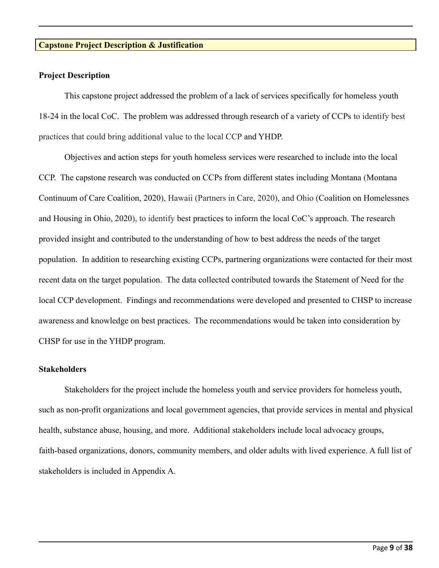#### **Capstone Project Description & Justification**

#### **Project Description**

This capstone project addressed the problem of a lack of services specifically for homeless youth 18-24 in the local CoC. The problem was addressed through research of a variety of CCPs to identify best practices that could bring additional value to the local CCP and YHDP.

Objectives and action steps for youth homeless services were researched to include into the local CCP. The capstone research was conducted on CCPs from different states including Montana (Montana Continuum of Care Coalition, 2020), Hawaii (Partners in Care, 2020), and Ohio (Coalition on Homelessnes and Housing in Ohio, 2020), to identify best practices to inform the local CoC's approach. The research provided insight and contributed to the understanding of how to best address the needs of the target population. In addition to researching existing CCPs, partnering organizations were contacted for their most recent data on the target population. The data collected contributed towards the Statement of Need for the local CCP development. Findings and recommendations were developed and presented to CHSP to increase awareness and knowledge on best practices. The recommendations would be taken into consideration by CHSP for use in the YHDP program.

#### **Stakeholders**

Stakeholders for the project include the homeless youth and service providers for homeless youth, such as non-profit organizations and local government agencies, that provide services in mental and physical health, substance abuse, housing, and more. Additional stakeholders include local advocacy groups, faith-based organizations, donors, community members, and older adults with lived experience. A full list of stakeholders is included in Appendix A.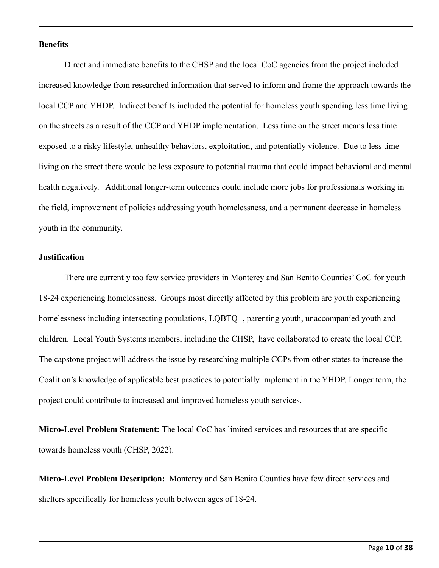#### **Benefits**

Direct and immediate benefits to the CHSP and the local CoC agencies from the project included increased knowledge from researched information that served to inform and frame the approach towards the local CCP and YHDP. Indirect benefits included the potential for homeless youth spending less time living on the streets as a result of the CCP and YHDP implementation. Less time on the street means less time exposed to a risky lifestyle, unhealthy behaviors, exploitation, and potentially violence. Due to less time living on the street there would be less exposure to potential trauma that could impact behavioral and mental health negatively. Additional longer-term outcomes could include more jobs for professionals working in the field, improvement of policies addressing youth homelessness, and a permanent decrease in homeless youth in the community.

#### **Justification**

There are currently too few service providers in Monterey and San Benito Counties' CoC for youth 18-24 experiencing homelessness. Groups most directly affected by this problem are youth experiencing homelessness including intersecting populations, LQBTQ+, parenting youth, unaccompanied youth and children. Local Youth Systems members, including the CHSP, have collaborated to create the local CCP. The capstone project will address the issue by researching multiple CCPs from other states to increase the Coalition's knowledge of applicable best practices to potentially implement in the YHDP. Longer term, the project could contribute to increased and improved homeless youth services.

**Micro-Level Problem Statement:** The local CoC has limited services and resources that are specific towards homeless youth (CHSP, 2022).

**Micro-Level Problem Description:** Monterey and San Benito Counties have few direct services and shelters specifically for homeless youth between ages of 18-24.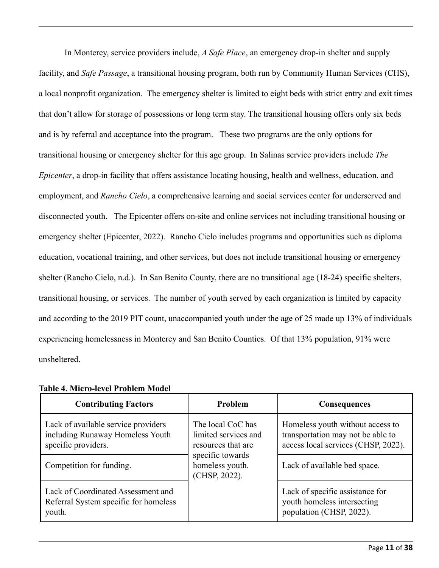In Monterey, service providers include, *A Safe Place*, an emergency drop-in shelter and supply facility, and *Safe Passage*, a transitional housing program, both run by Community Human Services (CHS), a local nonprofit organization. The emergency shelter is limited to eight beds with strict entry and exit times that don't allow for storage of possessions or long term stay. The transitional housing offers only six beds and is by referral and acceptance into the program. These two programs are the only options for transitional housing or emergency shelter for this age group. In Salinas service providers include *The Epicenter*, a drop-in facility that offers assistance locating housing, health and wellness, education, and employment, and *Rancho Cielo*, a comprehensive learning and social services center for underserved and disconnected youth. The Epicenter offers on-site and online services not including transitional housing or emergency shelter (Epicenter, 2022). Rancho Cielo includes programs and opportunities such as diploma education, vocational training, and other services, but does not include transitional housing or emergency shelter (Rancho Cielo, n.d.). In San Benito County, there are no transitional age (18-24) specific shelters, transitional housing, or services. The number of youth served by each organization is limited by capacity and according to the 2019 PIT count, unaccompanied youth under the age of 25 made up 13% of individuals experiencing homelessness in Monterey and San Benito Counties. Of that 13% population, 91% were unsheltered.

| <b>Contributing Factors</b>                                                                    | Problem                                                         | <b>Consequences</b>                                                                                          |
|------------------------------------------------------------------------------------------------|-----------------------------------------------------------------|--------------------------------------------------------------------------------------------------------------|
| Lack of available service providers<br>including Runaway Homeless Youth<br>specific providers. | The local CoC has<br>limited services and<br>resources that are | Homeless youth without access to<br>transportation may not be able to<br>access local services (CHSP, 2022). |
| Competition for funding.                                                                       | specific towards<br>homeless youth.<br>(CHSP, 2022).            | Lack of available bed space.                                                                                 |
| Lack of Coordinated Assessment and<br>Referral System specific for homeless<br>youth.          |                                                                 | Lack of specific assistance for<br>youth homeless intersecting<br>population (CHSP, 2022).                   |

### **Table 4. Micro-level Problem Model**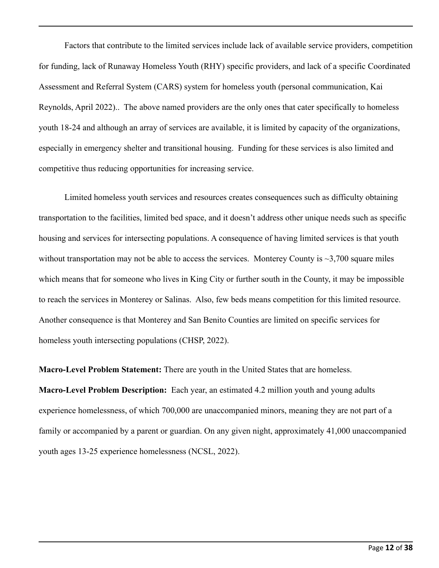Factors that contribute to the limited services include lack of available service providers, competition for funding, lack of Runaway Homeless Youth (RHY) specific providers, and lack of a specific Coordinated Assessment and Referral System (CARS) system for homeless youth (personal communication, Kai Reynolds, April 2022).. The above named providers are the only ones that cater specifically to homeless youth 18-24 and although an array of services are available, it is limited by capacity of the organizations, especially in emergency shelter and transitional housing. Funding for these services is also limited and competitive thus reducing opportunities for increasing service.

Limited homeless youth services and resources creates consequences such as difficulty obtaining transportation to the facilities, limited bed space, and it doesn't address other unique needs such as specific housing and services for intersecting populations. A consequence of having limited services is that youth without transportation may not be able to access the services. Monterey County is  $\sim$ 3,700 square miles which means that for someone who lives in King City or further south in the County, it may be impossible to reach the services in Monterey or Salinas. Also, few beds means competition for this limited resource. Another consequence is that Monterey and San Benito Counties are limited on specific services for homeless youth intersecting populations (CHSP, 2022).

**Macro-Level Problem Statement:** There are youth in the United States that are homeless.

**Macro-Level Problem Description:** Each year, an estimated [4.2 million youth and young adults](http://voicesofyouthcount.org/brief/national-estimates-of-youth-homelessness/) experience homelessness, of which 700,000 are unaccompanied minors, meaning they are not part of a family or accompanied by a parent or guardian. On any given night, approximately 41,000 unaccompanied youth ages 13-25 experience homelessness (NCSL, 2022).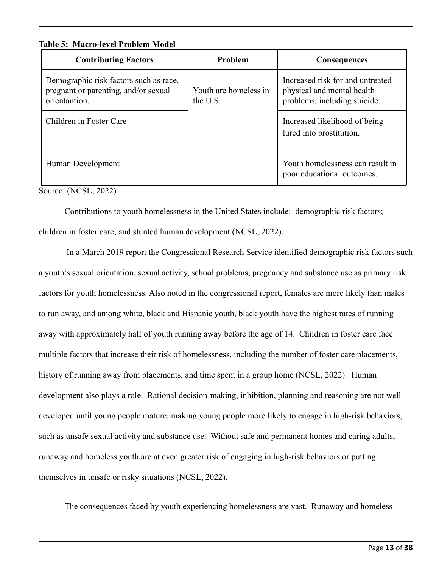**Table 5: Macro-level Problem Model**

| <b>Contributing Factors</b>                                                                     | <b>Problem</b>                    | <b>Consequences</b>                                                                            |
|-------------------------------------------------------------------------------------------------|-----------------------------------|------------------------------------------------------------------------------------------------|
| Demographic risk factors such as race,<br>pregnant or parenting, and/or sexual<br>orientantion. | Youth are homeless in<br>the U.S. | Increased risk for and untreated<br>physical and mental health<br>problems, including suicide. |
| Children in Foster Care                                                                         |                                   | Increased likelihood of being<br>lured into prostitution.                                      |
| Human Development                                                                               |                                   | Youth homelessness can result in<br>poor educational outcomes.                                 |

Source: (NCSL, 2022)

Contributions to youth homelessness in the United States include: demographic risk factors; children in foster care; and stunted human development (NCSL, 2022).

In a March 2019 [report](https://crsreports.congress.gov/product/pdf/RL/RL33785) the Congressional Research Service identified demographic risk factors such a youth's sexual orientation, sexual activity, school problems, pregnancy and substance use as primary risk factors for youth homelessness. Also noted in the congressional report, females are more likely than males to run away, and among white, black and Hispanic youth, black youth have the highest rates of running away with approximately half of youth running away before the age of 14. Children in foster care face [multiple factors that increase their risk of homelessness](https://www.acf.hhs.gov/opre/report/analysis-data-youth-child-welfare-involvement-risk-homelessness), including the number of foster care placements, history of running away from placements, and time spent in a group home (NCSL, 2022). Human development also plays a role. Rational decision-making, inhibition, planning and reasoning are not well developed [until young people mature,](https://www.ncbi.nlm.nih.gov/pubmed/26158695) making young people [more likely to engage in high-risk behaviors](https://www.aacap.org/aacap/families_and_youth/facts_for_families/fff-guide/the-teen-brain-behavior-problem-solving-and-decision-making-095.aspx), such as unsafe sexual activity and substance use. Without safe and permanent homes and caring adults, runaway and homeless youth are at even greater risk of engaging in high-risk behaviors or putting themselves in unsafe or risky situations (NCSL, 2022).

The consequences faced by youth experiencing homelessness are vast. Runaway and [homeless](https://www.usich.gov/resources/uploads/asset_library/Homelessness_in_America_Youth.pdf)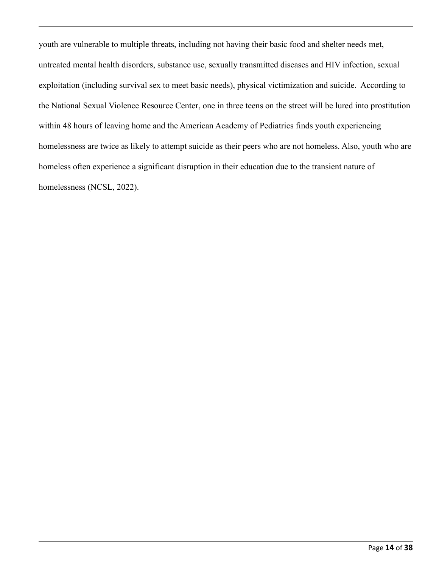[youth are vulnerable to multiple threats,](https://www.usich.gov/resources/uploads/asset_library/Homelessness_in_America_Youth.pdf) including not having their basic food and shelter needs met, untreated mental health disorders, substance use, sexually transmitted diseases and HIV infection, sexual exploitation (including survival sex to meet basic needs), physical victimization and suicide. According to the [National Sexual Violence Resource Center,](https://www.nsvrc.org/sites/default/files/publications/2019-02/HomelessYouth_Final%20508.pdf) one in three teens on the street will be lured into prostitution within 48 hours of leaving home and the American Academy of Pediatrics finds youth experiencing homelessness are [twice as likely to attempt suicide](https://www.aappublications.org/news/2018/03/19/suicide031918) as their peers who are not homeless. Also, youth who are homeless often experience a [significant disruption](https://www.americanbar.org/products/inv/book/342471885/) in their education due to the transient nature of homelessness (NCSL, 2022).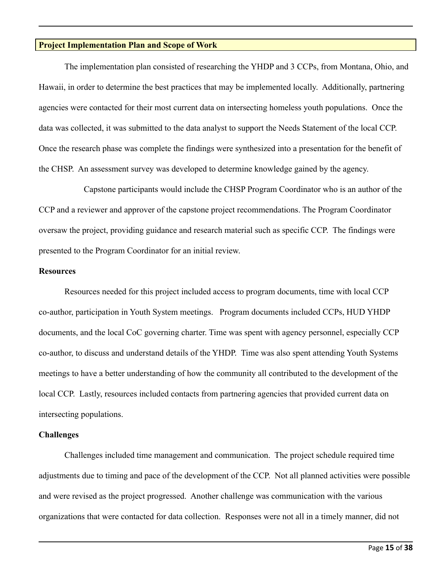#### **Project Implementation Plan and Scope of Work**

The implementation plan consisted of researching the YHDP and 3 CCPs, from Montana, Ohio, and Hawaii, in order to determine the best practices that may be implemented locally. Additionally, partnering agencies were contacted for their most current data on intersecting homeless youth populations. Once the data was collected, it was submitted to the data analyst to support the Needs Statement of the local CCP. Once the research phase was complete the findings were synthesized into a presentation for the benefit of the CHSP. An assessment survey was developed to determine knowledge gained by the agency.

Capstone participants would include the CHSP Program Coordinator who is an author of the CCP and a reviewer and approver of the capstone project recommendations. The Program Coordinator oversaw the project, providing guidance and research material such as specific CCP. The findings were presented to the Program Coordinator for an initial review.

#### **Resources**

Resources needed for this project included access to program documents, time with local CCP co-author, participation in Youth System meetings. Program documents included CCPs, HUD YHDP documents, and the local CoC governing charter. Time was spent with agency personnel, especially CCP co-author, to discuss and understand details of the YHDP. Time was also spent attending Youth Systems meetings to have a better understanding of how the community all contributed to the development of the local CCP. Lastly, resources included contacts from partnering agencies that provided current data on intersecting populations.

#### **Challenges**

Challenges included time management and communication. The project schedule required time adjustments due to timing and pace of the development of the CCP. Not all planned activities were possible and were revised as the project progressed. Another challenge was communication with the various organizations that were contacted for data collection. Responses were not all in a timely manner, did not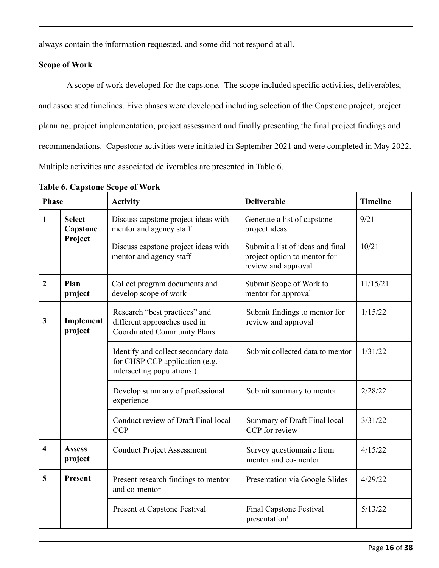always contain the information requested, and some did not respond at all.

## **Scope of Work**

A scope of work developed for the capstone. The scope included specific activities, deliverables, and associated timelines. Five phases were developed including selection of the Capstone project, project planning, project implementation, project assessment and finally presenting the final project findings and recommendations. Capestone activities were initiated in September 2021 and were completed in May 2022. Multiple activities and associated deliverables are presented in Table 6.

| <b>Phase</b>     |                                                                | <b>Activity</b>                                                                                     | <b>Deliverable</b>                                   | <b>Timeline</b> |
|------------------|----------------------------------------------------------------|-----------------------------------------------------------------------------------------------------|------------------------------------------------------|-----------------|
| $\mathbf{1}$     | <b>Select</b><br>Capstone                                      | Discuss capstone project ideas with<br>mentor and agency staff                                      | Generate a list of capstone<br>project ideas         | 9/21            |
| Project          | Discuss capstone project ideas with<br>mentor and agency staff | Submit a list of ideas and final<br>project option to mentor for<br>review and approval             | 10/21                                                |                 |
| $\boldsymbol{2}$ | Plan<br>project                                                | Collect program documents and<br>develop scope of work                                              | Submit Scope of Work to<br>mentor for approval       | 11/15/21        |
| 3                | Implement<br>project                                           | Research "best practices" and<br>different approaches used in<br><b>Coordinated Community Plans</b> | Submit findings to mentor for<br>review and approval | 1/15/22         |
|                  |                                                                | Identify and collect secondary data<br>for CHSP CCP application (e.g.<br>intersecting populations.) | Submit collected data to mentor                      | 1/31/22         |
|                  |                                                                | Develop summary of professional<br>experience                                                       | Submit summary to mentor                             | 2/28/22         |
|                  |                                                                | Conduct review of Draft Final local<br><b>CCP</b>                                                   | Summary of Draft Final local<br>CCP for review       | 3/31/22         |
| 4                | <b>Assess</b><br>project                                       | <b>Conduct Project Assessment</b>                                                                   | Survey questionnaire from<br>mentor and co-mentor    | 4/15/22         |
| 5                | <b>Present</b>                                                 | Present research findings to mentor<br>and co-mentor                                                | Presentation via Google Slides                       | 4/29/22         |
|                  |                                                                | Present at Capstone Festival                                                                        | <b>Final Capstone Festival</b><br>presentation!      | 5/13/22         |

**Table 6. Capstone Scope of Work**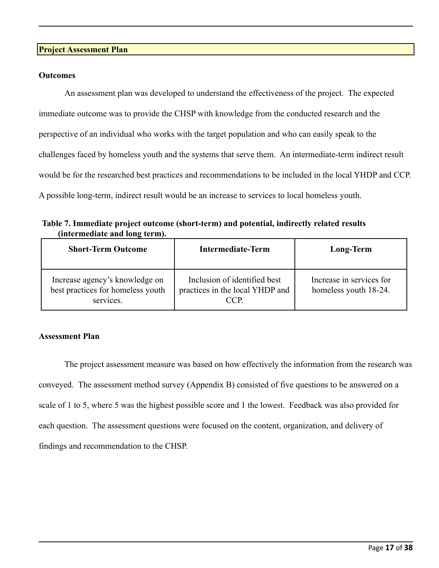#### **Project Assessment Plan**

#### **Outcomes**

An assessment plan was developed to understand the effectiveness of the project. The expected immediate outcome was to provide the CHSP with knowledge from the conducted research and the perspective of an individual who works with the target population and who can easily speak to the challenges faced by homeless youth and the systems that serve them. An intermediate-term indirect result would be for the researched best practices and recommendations to be included in the local YHDP and CCP. A possible long-term, indirect result would be an increase to services to local homeless youth.

**Table 7. Immediate project outcome (short-term) and potential, indirectly related results (intermediate and long term).**

| <b>Short-Term Outcome</b>                                                        | <b>Intermediate-Term</b>                                                | Long-Term                                         |
|----------------------------------------------------------------------------------|-------------------------------------------------------------------------|---------------------------------------------------|
| Increase agency's knowledge on<br>best practices for homeless youth<br>services. | Inclusion of identified best<br>practices in the local YHDP and<br>CCP. | Increase in services for<br>homeless youth 18-24. |

#### **Assessment Plan**

The project assessment measure was based on how effectively the information from the research was conveyed. The assessment method survey (Appendix B) consisted of five questions to be answered on a scale of 1 to 5, where 5 was the highest possible score and 1 the lowest. Feedback was also provided for each question. The assessment questions were focused on the content, organization, and delivery of findings and recommendation to the CHSP.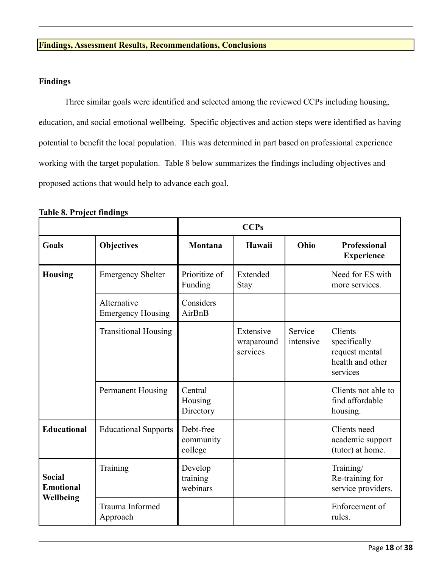## **Findings, Assessment Results, Recommendations, Conclusions**

## **Findings**

Three similar goals were identified and selected among the reviewed CCPs including housing, education, and social emotional wellbeing. Specific objectives and action steps were identified as having potential to benefit the local population. This was determined in part based on professional experience working with the target population. Table 8 below summarizes the findings including objectives and proposed actions that would help to advance each goal.

|                                                |                                         |                                   | <b>CCPs</b>                         |                      |                                                                           |
|------------------------------------------------|-----------------------------------------|-----------------------------------|-------------------------------------|----------------------|---------------------------------------------------------------------------|
| <b>Goals</b>                                   | <b>Objectives</b>                       | Montana                           | Hawaii                              | Ohio                 | <b>Professional</b><br><b>Experience</b>                                  |
| <b>Housing</b>                                 | <b>Emergency Shelter</b>                | Prioritize of<br>Funding          | Extended<br><b>Stay</b>             |                      | Need for ES with<br>more services.                                        |
|                                                | Alternative<br><b>Emergency Housing</b> | Considers<br>AirBnB               |                                     |                      |                                                                           |
|                                                | <b>Transitional Housing</b>             |                                   | Extensive<br>wraparound<br>services | Service<br>intensive | Clients<br>specifically<br>request mental<br>health and other<br>services |
|                                                | Permanent Housing                       | Central<br>Housing<br>Directory   |                                     |                      | Clients not able to<br>find affordable<br>housing.                        |
| <b>Educational</b>                             | <b>Educational Supports</b>             | Debt-free<br>community<br>college |                                     |                      | Clients need<br>academic support<br>(tutor) at home.                      |
| <b>Social</b><br><b>Emotional</b><br>Wellbeing | Training                                | Develop<br>training<br>webinars   |                                     |                      | Training/<br>Re-training for<br>service providers.                        |
|                                                | Trauma Informed<br>Approach             |                                   |                                     |                      | Enforcement of<br>rules.                                                  |

**Table 8. Project findings**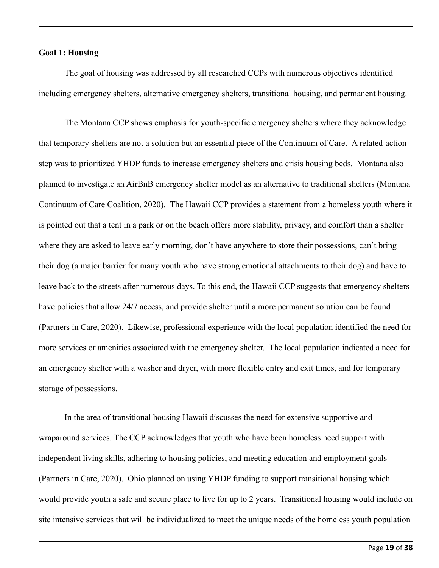#### **Goal 1: Housing**

The goal of housing was addressed by all researched CCPs with numerous objectives identified including emergency shelters, alternative emergency shelters, transitional housing, and permanent housing.

The Montana CCP shows emphasis for youth-specific emergency shelters where they acknowledge that temporary shelters are not a solution but an essential piece of the Continuum of Care. A related action step was to prioritized YHDP funds to increase emergency shelters and crisis housing beds. Montana also planned to investigate an AirBnB emergency shelter model as an alternative to traditional shelters (Montana Continuum of Care Coalition, 2020). The Hawaii CCP provides a statement from a homeless youth where it is pointed out that a tent in a park or on the beach offers more stability, privacy, and comfort than a shelter where they are asked to leave early morning, don't have anywhere to store their possessions, can't bring their dog (a major barrier for many youth who have strong emotional attachments to their dog) and have to leave back to the streets after numerous days. To this end, the Hawaii CCP suggests that emergency shelters have policies that allow 24/7 access, and provide shelter until a more permanent solution can be found (Partners in Care, 2020). Likewise, professional experience with the local population identified the need for more services or amenities associated with the emergency shelter. The local population indicated a need for an emergency shelter with a washer and dryer, with more flexible entry and exit times, and for temporary storage of possessions.

In the area of transitional housing Hawaii discusses the need for extensive supportive and wraparound services. The CCP acknowledges that youth who have been homeless need support with independent living skills, adhering to housing policies, and meeting education and employment goals (Partners in Care, 2020). Ohio planned on using YHDP funding to support transitional housing which would provide youth a safe and secure place to live for up to 2 years. Transitional housing would include on site intensive services that will be individualized to meet the unique needs of the homeless youth population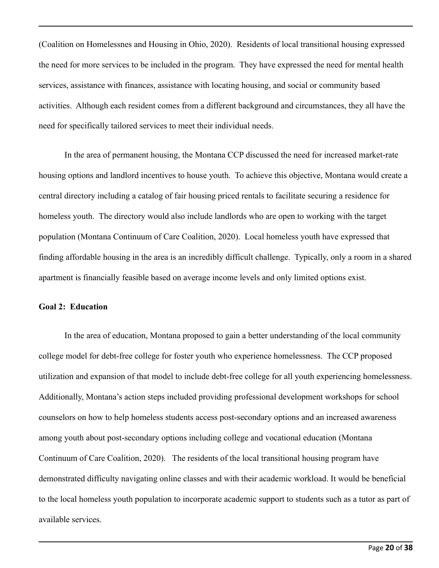(Coalition on Homelessnes and Housing in Ohio, 2020). Residents of local transitional housing expressed the need for more services to be included in the program. They have expressed the need for mental health services, assistance with finances, assistance with locating housing, and social or community based activities. Although each resident comes from a different background and circumstances, they all have the need for specifically tailored services to meet their individual needs.

In the area of permanent housing, the Montana CCP discussed the need for increased market-rate housing options and landlord incentives to house youth. To achieve this objective, Montana would create a central directory including a catalog of fair housing priced rentals to facilitate securing a residence for homeless youth. The directory would also include landlords who are open to working with the target population (Montana Continuum of Care Coalition, 2020). Local homeless youth have expressed that finding affordable housing in the area is an incredibly difficult challenge. Typically, only a room in a shared apartment is financially feasible based on average income levels and only limited options exist.

#### **Goal 2: Education**

In the area of education, Montana proposed to gain a better understanding of the local community college model for debt-free college for foster youth who experience homelessness. The CCP proposed utilization and expansion of that model to include debt-free college for all youth experiencing homelessness. Additionally, Montana's action steps included providing professional development workshops for school counselors on how to help homeless students access post-secondary options and an increased awareness among youth about post-secondary options including college and vocational education (Montana Continuum of Care Coalition, 2020). The residents of the local transitional housing program have demonstrated difficulty navigating online classes and with their academic workload. It would be beneficial to the local homeless youth population to incorporate academic support to students such as a tutor as part of available services.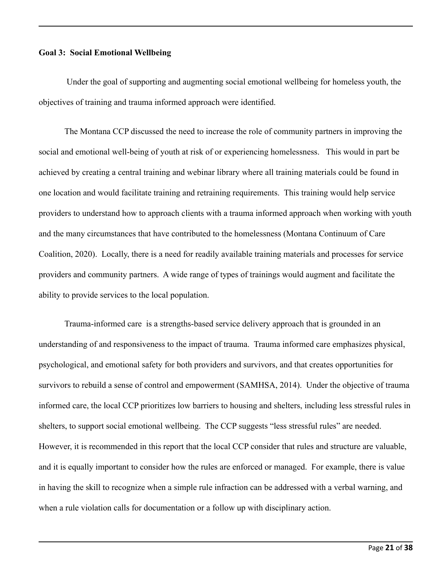#### **Goal 3: Social Emotional Wellbeing**

Under the goal of supporting and augmenting social emotional wellbeing for homeless youth, the objectives of training and trauma informed approach were identified.

The Montana CCP discussed the need to increase the role of community partners in improving the social and emotional well-being of youth at risk of or experiencing homelessness. This would in part be achieved by creating a central training and webinar library where all training materials could be found in one location and would facilitate training and retraining requirements. This training would help service providers to understand how to approach clients with a trauma informed approach when working with youth and the many circumstances that have contributed to the homelessness (Montana Continuum of Care Coalition, 2020). Locally, there is a need for readily available training materials and processes for service providers and community partners. A wide range of types of trainings would augment and facilitate the ability to provide services to the local population.

Trauma-informed care is a strengths-based service delivery approach that is grounded in an understanding of and responsiveness to the impact of trauma. Trauma informed care emphasizes physical, psychological, and emotional safety for both providers and survivors, and that creates opportunities for survivors to rebuild a sense of control and empowerment (SAMHSA, 2014). Under the objective of trauma informed care, the local CCP prioritizes low barriers to housing and shelters, including less stressful rules in shelters, to support social emotional wellbeing. The CCP suggests "less stressful rules" are needed. However, it is recommended in this report that the local CCP consider that rules and structure are valuable, and it is equally important to consider how the rules are enforced or managed. For example, there is value in having the skill to recognize when a simple rule infraction can be addressed with a verbal warning, and when a rule violation calls for documentation or a follow up with disciplinary action.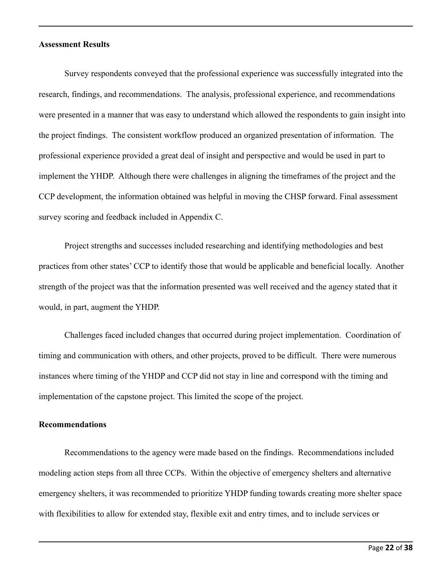#### **Assessment Results**

Survey respondents conveyed that the professional experience was successfully integrated into the research, findings, and recommendations. The analysis, professional experience, and recommendations were presented in a manner that was easy to understand which allowed the respondents to gain insight into the project findings. The consistent workflow produced an organized presentation of information. The professional experience provided a great deal of insight and perspective and would be used in part to implement the YHDP. Although there were challenges in aligning the timeframes of the project and the CCP development, the information obtained was helpful in moving the CHSP forward. Final assessment survey scoring and feedback included in Appendix C.

Project strengths and successes included researching and identifying methodologies and best practices from other states' CCP to identify those that would be applicable and beneficial locally. Another strength of the project was that the information presented was well received and the agency stated that it would, in part, augment the YHDP.

Challenges faced included changes that occurred during project implementation. Coordination of timing and communication with others, and other projects, proved to be difficult. There were numerous instances where timing of the YHDP and CCP did not stay in line and correspond with the timing and implementation of the capstone project. This limited the scope of the project.

#### **Recommendations**

Recommendations to the agency were made based on the findings. Recommendations included modeling action steps from all three CCPs. Within the objective of emergency shelters and alternative emergency shelters, it was recommended to prioritize YHDP funding towards creating more shelter space with flexibilities to allow for extended stay, flexible exit and entry times, and to include services or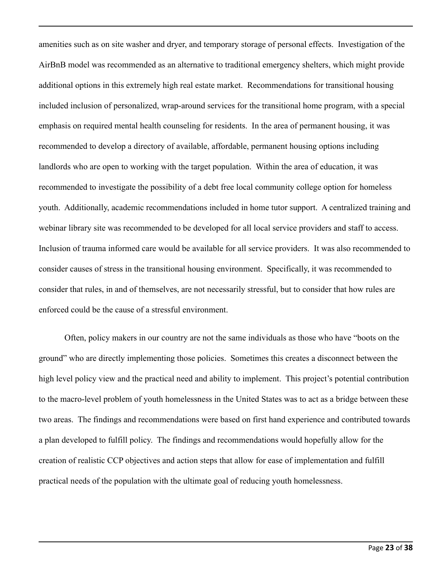amenities such as on site washer and dryer, and temporary storage of personal effects. Investigation of the AirBnB model was recommended as an alternative to traditional emergency shelters, which might provide additional options in this extremely high real estate market. Recommendations for transitional housing included inclusion of personalized, wrap-around services for the transitional home program, with a special emphasis on required mental health counseling for residents. In the area of permanent housing, it was recommended to develop a directory of available, affordable, permanent housing options including landlords who are open to working with the target population. Within the area of education, it was recommended to investigate the possibility of a debt free local community college option for homeless youth. Additionally, academic recommendations included in home tutor support. A centralized training and webinar library site was recommended to be developed for all local service providers and staff to access. Inclusion of trauma informed care would be available for all service providers. It was also recommended to consider causes of stress in the transitional housing environment. Specifically, it was recommended to consider that rules, in and of themselves, are not necessarily stressful, but to consider that how rules are enforced could be the cause of a stressful environment.

Often, policy makers in our country are not the same individuals as those who have "boots on the ground" who are directly implementing those policies. Sometimes this creates a disconnect between the high level policy view and the practical need and ability to implement. This project's potential contribution to the macro-level problem of youth homelessness in the United States was to act as a bridge between these two areas. The findings and recommendations were based on first hand experience and contributed towards a plan developed to fulfill policy. The findings and recommendations would hopefully allow for the creation of realistic CCP objectives and action steps that allow for ease of implementation and fulfill practical needs of the population with the ultimate goal of reducing youth homelessness.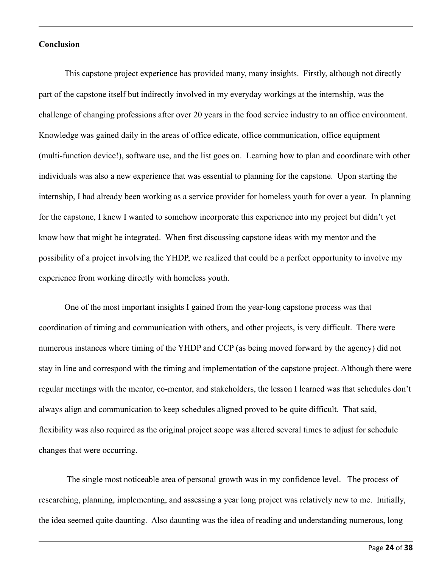#### **Conclusion**

This capstone project experience has provided many, many insights. Firstly, although not directly part of the capstone itself but indirectly involved in my everyday workings at the internship, was the challenge of changing professions after over 20 years in the food service industry to an office environment. Knowledge was gained daily in the areas of office edicate, office communication, office equipment (multi-function device!), software use, and the list goes on. Learning how to plan and coordinate with other individuals was also a new experience that was essential to planning for the capstone. Upon starting the internship, I had already been working as a service provider for homeless youth for over a year. In planning for the capstone, I knew I wanted to somehow incorporate this experience into my project but didn't yet know how that might be integrated. When first discussing capstone ideas with my mentor and the possibility of a project involving the YHDP, we realized that could be a perfect opportunity to involve my experience from working directly with homeless youth.

One of the most important insights I gained from the year-long capstone process was that coordination of timing and communication with others, and other projects, is very difficult. There were numerous instances where timing of the YHDP and CCP (as being moved forward by the agency) did not stay in line and correspond with the timing and implementation of the capstone project. Although there were regular meetings with the mentor, co-mentor, and stakeholders, the lesson I learned was that schedules don't always align and communication to keep schedules aligned proved to be quite difficult. That said, flexibility was also required as the original project scope was altered several times to adjust for schedule changes that were occurring.

The single most noticeable area of personal growth was in my confidence level. The process of researching, planning, implementing, and assessing a year long project was relatively new to me. Initially, the idea seemed quite daunting. Also daunting was the idea of reading and understanding numerous, long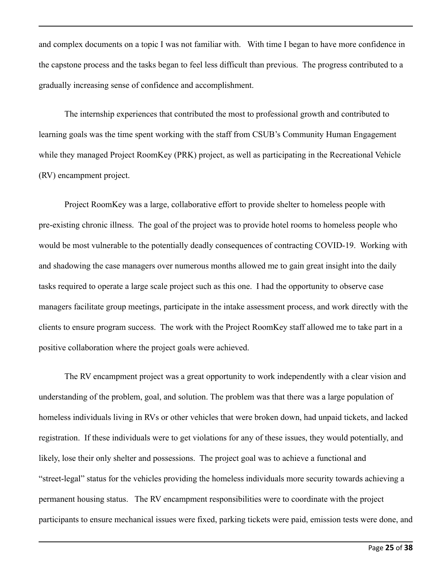and complex documents on a topic I was not familiar with. With time I began to have more confidence in the capstone process and the tasks began to feel less difficult than previous. The progress contributed to a gradually increasing sense of confidence and accomplishment.

The internship experiences that contributed the most to professional growth and contributed to learning goals was the time spent working with the staff from CSUB's Community Human Engagement while they managed Project RoomKey (PRK) project, as well as participating in the Recreational Vehicle (RV) encampment project.

Project RoomKey was a large, collaborative effort to provide shelter to homeless people with pre-existing chronic illness. The goal of the project was to provide hotel rooms to homeless people who would be most vulnerable to the potentially deadly consequences of contracting COVID-19. Working with and shadowing the case managers over numerous months allowed me to gain great insight into the daily tasks required to operate a large scale project such as this one. I had the opportunity to observe case managers facilitate group meetings, participate in the intake assessment process, and work directly with the clients to ensure program success. The work with the Project RoomKey staff allowed me to take part in a positive collaboration where the project goals were achieved.

The RV encampment project was a great opportunity to work independently with a clear vision and understanding of the problem, goal, and solution. The problem was that there was a large population of homeless individuals living in RVs or other vehicles that were broken down, had unpaid tickets, and lacked registration. If these individuals were to get violations for any of these issues, they would potentially, and likely, lose their only shelter and possessions. The project goal was to achieve a functional and "street-legal" status for the vehicles providing the homeless individuals more security towards achieving a permanent housing status. The RV encampment responsibilities were to coordinate with the project participants to ensure mechanical issues were fixed, parking tickets were paid, emission tests were done, and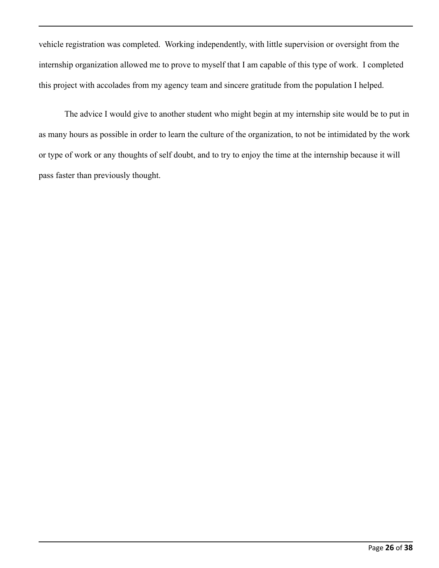vehicle registration was completed. Working independently, with little supervision or oversight from the internship organization allowed me to prove to myself that I am capable of this type of work. I completed this project with accolades from my agency team and sincere gratitude from the population I helped.

The advice I would give to another student who might begin at my internship site would be to put in as many hours as possible in order to learn the culture of the organization, to not be intimidated by the work or type of work or any thoughts of self doubt, and to try to enjoy the time at the internship because it will pass faster than previously thought.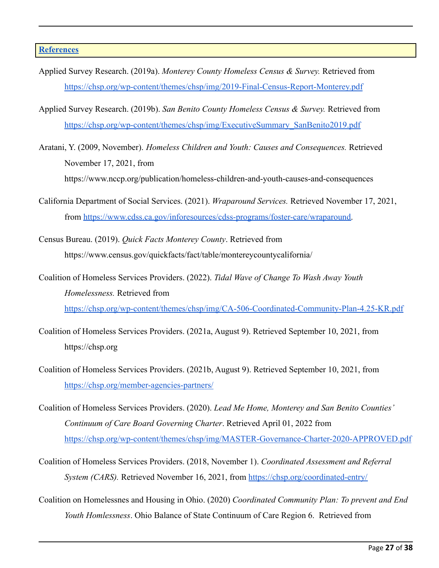#### **[References](https://owl.purdue.edu/owl/research_and_citation/apa_style/apa_formatting_and_style_guide/reference_list_basic_rules.html)**

- Applied Survey Research. (2019a). *Monterey County Homeless Census & Survey.* Retrieved from <https://chsp.org/wp-content/themes/chsp/img/2019-Final-Census-Report-Monterey.pdf>
- Applied Survey Research. (2019b). *San Benito County Homeless Census & Survey.* Retrieved from [https://chsp.org/wp-content/themes/chsp/img/ExecutiveSummary\\_SanBenito2019.pdf](https://chsp.org/wp-content/themes/chsp/img/ExecutiveSummary_SanBenito2019.pdf)
- Aratani, Y. (2009, November). *Homeless Children and Youth: Causes and Consequences.* Retrieved November 17, 2021, from

[https://www.nccp.org/publication/homeless-children-and-youth-causes-and-consequences](https://www.nccp.org/publication/homeless-children-and-youth-causes-and-consequences/)

- California Department of Social Services. (2021). *Wraparound Services.* Retrieved November 17, 2021, fro[m](https://www.cdss.ca.gov/inforesources/cdss-programs/foster-care/wraparound.) <https://www.cdss.ca.gov/inforesources/cdss-programs/foster-care/wraparound>[.](https://www.cdss.ca.gov/inforesources/cdss-programs/foster-care/wraparound.)
- Census Bureau. (2019). *Quick Facts Monterey County*. Retrieved from <https://www.census.gov/quickfacts/fact/table/montereycountycalifornia/>
- Coalition of Homeless Services Providers. (2022). *Tidal Wave of Change To Wash Away Youth Homelessness.* Retrieved from <https://chsp.org/wp-content/themes/chsp/img/CA-506-Coordinated-Community-Plan-4.25-KR.pdf>
- Coalition of Homeless Services Providers. (2021a, August 9). Retrieved September 10, 2021, from [https://chsp.org](https://chsp.org/)
- Coalition of Homeless Services Providers. (2021b, August 9). Retrieved September 10, 2021, from <https://chsp.org/member-agencies-partners/>
- Coalition of Homeless Services Providers. (2020). *Lead Me Home, Monterey and San Benito Counties' Continuum of Care Board Governing Charter*. Retrieved April 01, 2022 from <https://chsp.org/wp-content/themes/chsp/img/MASTER-Governance-Charter-2020-APPROVED.pdf>
- Coalition of Homeless Services Providers. (2018, November 1). *Coordinated Assessment and Referral System (CARS).* Retrieved November 16, 2021, from <https://chsp.org/coordinated-entry/>
- Coalition on Homelessnes and Housing in Ohio. (2020) *Coordinated Community Plan: To prevent and End Youth Homlessness*. Ohio Balance of State Continuum of Care Region 6. Retrieved from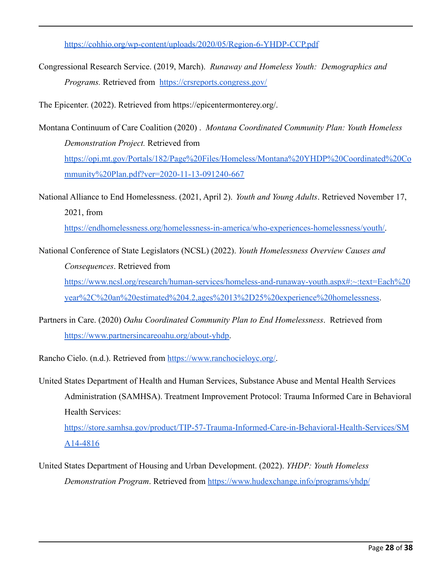<https://cohhio.org/wp-content/uploads/2020/05/Region-6-YHDP-CCP.pdf>

Congressional Research Service. (2019, March). *Runaway and Homeless Youth: Demographics and Programs.* Retrieved from <https://crsreports.congress.gov/>

The Epicenter. (2022). Retrieved from https://epicentermonterey.org/.

- Montana Continuum of Care Coalition (2020) . *Montana Coordinated Community Plan: Youth Homeless Demonstration Project.* Retrieved from [https://opi.mt.gov/Portals/182/Page%20Files/Homeless/Montana%20YHDP%20Coordinated%20Co](https://opi.mt.gov/Portals/182/Page%20Files/Homeless/Montana%20YHDP%20Coordinated%20Community%20Plan.pdf?ver=2020-11-13-091240-667) [mmunity%20Plan.pdf?ver=2020-11-13-091240-667](https://opi.mt.gov/Portals/182/Page%20Files/Homeless/Montana%20YHDP%20Coordinated%20Community%20Plan.pdf?ver=2020-11-13-091240-667)
- National Alliance to End Homelessness. (2021, April 2). *Youth and Young Adults*. Retrieved November 17, 2021, fro[m](https://endhomelessness.org/homelessness-in-america/who-experiences-homelessness/youth/)

[https://endhomelessness.org/homelessness-in-america/who-experiences-homelessness/youth/.](https://endhomelessness.org/homelessness-in-america/who-experiences-homelessness/youth/)

National Conference of State Legislators (NCSL) (2022). *Youth Homelessness Overview Causes and Consequences*. Retrieved from

[https://www.ncsl.org/research/human-services/homeless-and-runaway-youth.aspx#:~:text=Each%20](https://www.ncsl.org/research/human-services/homeless-and-runaway-youth.aspx#:~:text=Each%20year%2C%20an%20estimated%204.2,ages%2013%2D25%20experience%20homelessness) [year%2C%20an%20estimated%204.2,ages%2013%2D25%20experience%20homelessness](https://www.ncsl.org/research/human-services/homeless-and-runaway-youth.aspx#:~:text=Each%20year%2C%20an%20estimated%204.2,ages%2013%2D25%20experience%20homelessness).

Partners in Care. (2020) *Oahu Coordinated Community Plan to End Homelessness*. Retrieved from [https://www.partnersincareoahu.org/about-yhdp.](https://www.partnersincareoahu.org/about-yhdp)

Rancho Cielo. (n.d.). Retrieved from [https://www.ranchocieloyc.org/.](https://www.ranchocieloyc.org/)

United States Department of Health and Human Services, Substance Abuse and Mental Health Services Administration (SAMHSA). Treatment Improvement Protocol: Trauma Informed Care in Behavioral Health Services:

[https://store.samhsa.gov/product/TIP-57-Trauma-Informed-Care-in-Behavioral-Health-Services/SM](https://store.samhsa.gov/product/TIP-57-Trauma-Informed-Care-in-Behavioral-Health-Services/SMA14-4816) [A14-4816](https://store.samhsa.gov/product/TIP-57-Trauma-Informed-Care-in-Behavioral-Health-Services/SMA14-4816)

United States Department of Housing and Urban Development. (2022). *YHDP: Youth Homeless Demonstration Program*. Retrieved from <https://www.hudexchange.info/programs/yhdp/>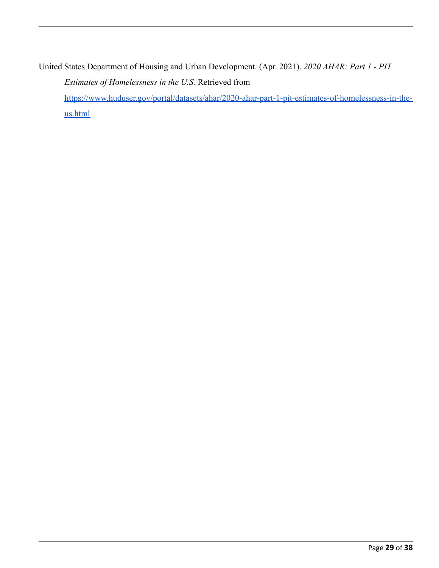United States Department of Housing and Urban Development. (Apr. 2021). *2020 AHAR: Part 1 - PIT Estimates of Homelessness in the U.S.* Retrieved from [https://www.huduser.gov/portal/datasets/ahar/2020-ahar-part-1-pit-estimates-of-homelessness-in-the](https://www.huduser.gov/portal/datasets/ahar/2020-ahar-part-1-pit-estimates-of-homelessness-in-the-us.html)[us.html](https://www.huduser.gov/portal/datasets/ahar/2020-ahar-part-1-pit-estimates-of-homelessness-in-the-us.html)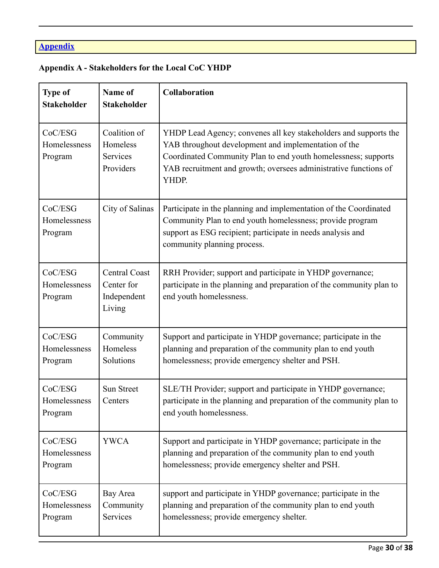# **Appendix**

## **Appendix A - Stakeholders for the Local CoC YHDP**

| <b>Type of</b><br><b>Stakeholder</b> | Name of<br><b>Stakeholder</b>                               | <b>Collaboration</b>                                                                                                                                                                                                                                                    |
|--------------------------------------|-------------------------------------------------------------|-------------------------------------------------------------------------------------------------------------------------------------------------------------------------------------------------------------------------------------------------------------------------|
| CoC/ESG<br>Homelessness<br>Program   | Coalition of<br>Homeless<br>Services<br>Providers           | YHDP Lead Agency; convenes all key stakeholders and supports the<br>YAB throughout development and implementation of the<br>Coordinated Community Plan to end youth homelessness; supports<br>YAB recruitment and growth; oversees administrative functions of<br>YHDP. |
| CoC/ESG<br>Homelessness<br>Program   | City of Salinas                                             | Participate in the planning and implementation of the Coordinated<br>Community Plan to end youth homelessness; provide program<br>support as ESG recipient; participate in needs analysis and<br>community planning process.                                            |
| CoC/ESG<br>Homelessness<br>Program   | <b>Central Coast</b><br>Center for<br>Independent<br>Living | RRH Provider; support and participate in YHDP governance;<br>participate in the planning and preparation of the community plan to<br>end youth homelessness.                                                                                                            |
| CoC/ESG<br>Homelessness<br>Program   | Community<br>Homeless<br>Solutions                          | Support and participate in YHDP governance; participate in the<br>planning and preparation of the community plan to end youth<br>homelessness; provide emergency shelter and PSH.                                                                                       |
| CoC/ESG<br>Homelessness<br>Program   | <b>Sun Street</b><br>Centers                                | SLE/TH Provider; support and participate in YHDP governance;<br>participate in the planning and preparation of the community plan to<br>end youth homelessness.                                                                                                         |
| CoC/ESG<br>Homelessness<br>Program   | <b>YWCA</b>                                                 | Support and participate in YHDP governance; participate in the<br>planning and preparation of the community plan to end youth<br>homelessness; provide emergency shelter and PSH.                                                                                       |
| CoC/ESG<br>Homelessness<br>Program   | Bay Area<br>Community<br>Services                           | support and participate in YHDP governance; participate in the<br>planning and preparation of the community plan to end youth<br>homelessness; provide emergency shelter.                                                                                               |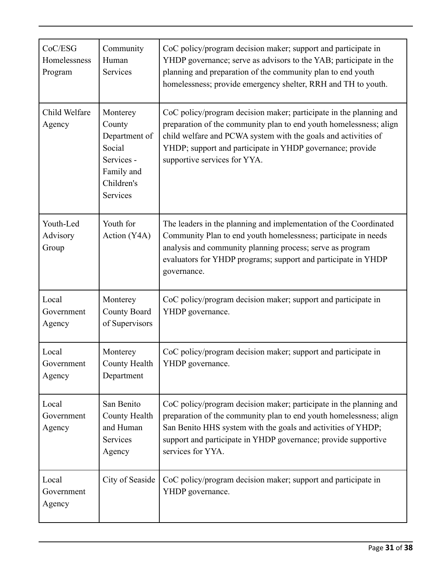| CoC/ESG<br>Homelessness<br>Program | Community<br>Human<br>Services                                                                      | CoC policy/program decision maker; support and participate in<br>YHDP governance; serve as advisors to the YAB; participate in the<br>planning and preparation of the community plan to end youth<br>homelessness; provide emergency shelter, RRH and TH to youth.                                      |
|------------------------------------|-----------------------------------------------------------------------------------------------------|---------------------------------------------------------------------------------------------------------------------------------------------------------------------------------------------------------------------------------------------------------------------------------------------------------|
| Child Welfare<br>Agency            | Monterey<br>County<br>Department of<br>Social<br>Services -<br>Family and<br>Children's<br>Services | CoC policy/program decision maker; participate in the planning and<br>preparation of the community plan to end youth homelessness; align<br>child welfare and PCWA system with the goals and activities of<br>YHDP; support and participate in YHDP governance; provide<br>supportive services for YYA. |
| Youth-Led<br>Advisory<br>Group     | Youth for<br>Action (Y4A)                                                                           | The leaders in the planning and implementation of the Coordinated<br>Community Plan to end youth homelessness; participate in needs<br>analysis and community planning process; serve as program<br>evaluators for YHDP programs; support and participate in YHDP<br>governance.                        |
| Local<br>Government<br>Agency      | Monterey<br>County Board<br>of Supervisors                                                          | CoC policy/program decision maker; support and participate in<br>YHDP governance.                                                                                                                                                                                                                       |
| Local<br>Government<br>Agency      | Monterey<br>County Health<br>Department                                                             | CoC policy/program decision maker; support and participate in<br>YHDP governance.                                                                                                                                                                                                                       |
| Local<br>Government<br>Agency      | San Benito<br>County Health<br>and Human<br>Services<br>Agency                                      | CoC policy/program decision maker; participate in the planning and<br>preparation of the community plan to end youth homelessness; align<br>San Benito HHS system with the goals and activities of YHDP;<br>support and participate in YHDP governance; provide supportive<br>services for YYA.         |
| Local<br>Government<br>Agency      | City of Seaside                                                                                     | CoC policy/program decision maker; support and participate in<br>YHDP governance.                                                                                                                                                                                                                       |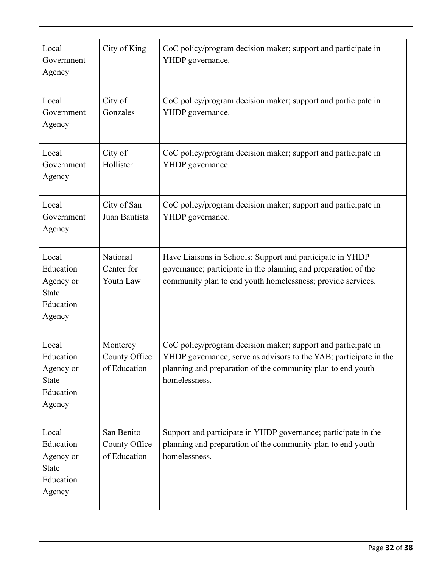| Local<br>Government<br>Agency                                          | City of King                                | CoC policy/program decision maker; support and participate in<br>YHDP governance.                                                                                                                                  |
|------------------------------------------------------------------------|---------------------------------------------|--------------------------------------------------------------------------------------------------------------------------------------------------------------------------------------------------------------------|
| Local<br>Government<br>Agency                                          | City of<br>Gonzales                         | CoC policy/program decision maker; support and participate in<br>YHDP governance.                                                                                                                                  |
| Local<br>Government<br>Agency                                          | City of<br>Hollister                        | CoC policy/program decision maker; support and participate in<br>YHDP governance.                                                                                                                                  |
| Local<br>Government<br>Agency                                          | City of San<br>Juan Bautista                | CoC policy/program decision maker; support and participate in<br>YHDP governance.                                                                                                                                  |
| Local<br>Education<br>Agency or<br><b>State</b><br>Education<br>Agency | National<br>Center for<br>Youth Law         | Have Liaisons in Schools; Support and participate in YHDP<br>governance; participate in the planning and preparation of the<br>community plan to end youth homelessness; provide services.                         |
| Local<br>Education<br>Agency or<br><b>State</b><br>Education<br>Agency | Monterey<br>County Office<br>of Education   | CoC policy/program decision maker; support and participate in<br>YHDP governance; serve as advisors to the YAB; participate in the<br>planning and preparation of the community plan to end youth<br>homelessness. |
| Local<br>Education<br>Agency or<br><b>State</b><br>Education<br>Agency | San Benito<br>County Office<br>of Education | Support and participate in YHDP governance; participate in the<br>planning and preparation of the community plan to end youth<br>homelessness.                                                                     |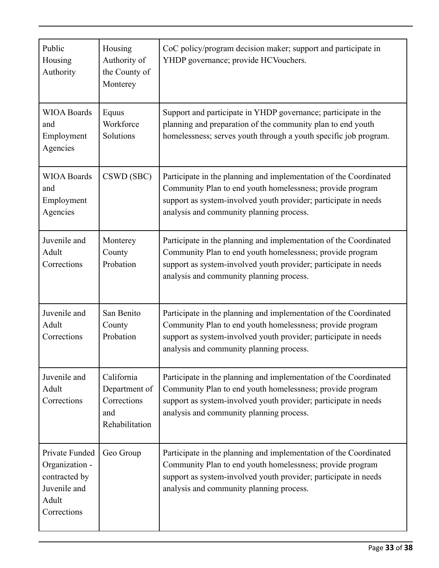| Public<br>Housing<br>Authority                                                            | Housing<br>Authority of<br>the County of<br>Monterey                | CoC policy/program decision maker; support and participate in<br>YHDP governance; provide HCVouchers.                                                                                                                                         |
|-------------------------------------------------------------------------------------------|---------------------------------------------------------------------|-----------------------------------------------------------------------------------------------------------------------------------------------------------------------------------------------------------------------------------------------|
| <b>WIOA Boards</b><br>and<br>Employment<br>Agencies                                       | Equus<br>Workforce<br>Solutions                                     | Support and participate in YHDP governance; participate in the<br>planning and preparation of the community plan to end youth<br>homelessness; serves youth through a youth specific job program.                                             |
| <b>WIOA Boards</b><br>and<br>Employment<br>Agencies                                       | CSWD (SBC)                                                          | Participate in the planning and implementation of the Coordinated<br>Community Plan to end youth homelessness; provide program<br>support as system-involved youth provider; participate in needs<br>analysis and community planning process. |
| Juvenile and<br>Adult<br>Corrections                                                      | Monterey<br>County<br>Probation                                     | Participate in the planning and implementation of the Coordinated<br>Community Plan to end youth homelessness; provide program<br>support as system-involved youth provider; participate in needs<br>analysis and community planning process. |
| Juvenile and<br>Adult<br>Corrections                                                      | San Benito<br>County<br>Probation                                   | Participate in the planning and implementation of the Coordinated<br>Community Plan to end youth homelessness; provide program<br>support as system-involved youth provider; participate in needs<br>analysis and community planning process. |
| Juvenile and<br>Adult<br>Corrections                                                      | California<br>Department of<br>Corrections<br>and<br>Rehabilitation | Participate in the planning and implementation of the Coordinated<br>Community Plan to end youth homelessness; provide program<br>support as system-involved youth provider; participate in needs<br>analysis and community planning process. |
| Private Funded<br>Organization -<br>contracted by<br>Juvenile and<br>Adult<br>Corrections | Geo Group                                                           | Participate in the planning and implementation of the Coordinated<br>Community Plan to end youth homelessness; provide program<br>support as system-involved youth provider; participate in needs<br>analysis and community planning process. |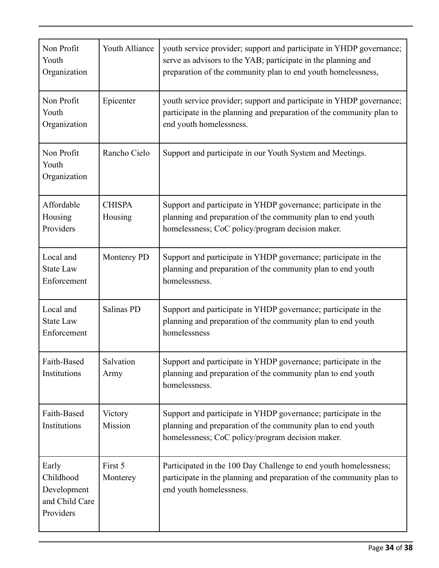| Non Profit<br>Youth<br>Organization                              | <b>Youth Alliance</b>    | youth service provider; support and participate in YHDP governance;<br>serve as advisors to the YAB; participate in the planning and<br>preparation of the community plan to end youth homelessness, |
|------------------------------------------------------------------|--------------------------|------------------------------------------------------------------------------------------------------------------------------------------------------------------------------------------------------|
| Non Profit<br>Youth<br>Organization                              | Epicenter                | youth service provider; support and participate in YHDP governance;<br>participate in the planning and preparation of the community plan to<br>end youth homelessness.                               |
| Non Profit<br>Youth<br>Organization                              | Rancho Cielo             | Support and participate in our Youth System and Meetings.                                                                                                                                            |
| Affordable<br>Housing<br>Providers                               | <b>CHISPA</b><br>Housing | Support and participate in YHDP governance; participate in the<br>planning and preparation of the community plan to end youth<br>homelessness; CoC policy/program decision maker.                    |
| Local and<br><b>State Law</b><br>Enforcement                     | Monterey PD              | Support and participate in YHDP governance; participate in the<br>planning and preparation of the community plan to end youth<br>homelessness.                                                       |
| Local and<br><b>State Law</b><br>Enforcement                     | Salinas PD               | Support and participate in YHDP governance; participate in the<br>planning and preparation of the community plan to end youth<br>homelessness                                                        |
| Faith-Based<br>Institutions                                      | Salvation<br>Army        | Support and participate in YHDP governance; participate in the<br>planning and preparation of the community plan to end youth<br>homelessness.                                                       |
| Faith-Based<br>Institutions                                      | Victory<br>Mission       | Support and participate in YHDP governance; participate in the<br>planning and preparation of the community plan to end youth<br>homelessness; CoC policy/program decision maker.                    |
| Early<br>Childhood<br>Development<br>and Child Care<br>Providers | First 5<br>Monterey      | Participated in the 100 Day Challenge to end youth homelessness;<br>participate in the planning and preparation of the community plan to<br>end youth homelessness.                                  |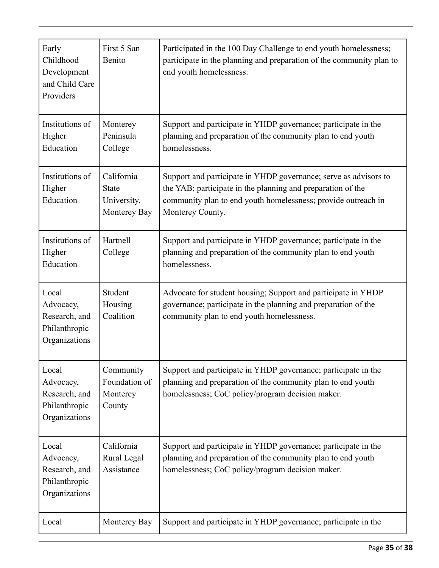| Early<br>Childhood<br>Development<br>and Child Care<br>Providers      | First 5 San<br>Benito                                     | Participated in the 100 Day Challenge to end youth homelessness;<br>participate in the planning and preparation of the community plan to<br>end youth homelessness.                                                  |
|-----------------------------------------------------------------------|-----------------------------------------------------------|----------------------------------------------------------------------------------------------------------------------------------------------------------------------------------------------------------------------|
| Institutions of<br>Higher<br>Education                                | Monterey<br>Peninsula<br>College                          | Support and participate in YHDP governance; participate in the<br>planning and preparation of the community plan to end youth<br>homelessness.                                                                       |
| Institutions of<br>Higher<br>Education                                | California<br><b>State</b><br>University,<br>Monterey Bay | Support and participate in YHDP governance; serve as advisors to<br>the YAB; participate in the planning and preparation of the<br>community plan to end youth homelessness; provide outreach in<br>Monterey County. |
| Institutions of<br>Higher<br>Education                                | Hartnell<br>College                                       | Support and participate in YHDP governance; participate in the<br>planning and preparation of the community plan to end youth<br>homelessness.                                                                       |
| Local<br>Advocacy,<br>Research, and<br>Philanthropic<br>Organizations | Student<br>Housing<br>Coalition                           | Advocate for student housing; Support and participate in YHDP<br>governance; participate in the planning and preparation of the<br>community plan to end youth homelessness.                                         |
| Local<br>Advocacy,<br>Research, and<br>Philanthropic<br>Organizations | Community<br>Foundation of<br>Monterey<br>County          | Support and participate in YHDP governance; participate in the<br>planning and preparation of the community plan to end youth<br>homelessness; CoC policy/program decision maker.                                    |
| Local<br>Advocacy,<br>Research, and<br>Philanthropic<br>Organizations | California<br>Rural Legal<br>Assistance                   | Support and participate in YHDP governance; participate in the<br>planning and preparation of the community plan to end youth<br>homelessness; CoC policy/program decision maker.                                    |
| Local                                                                 | Monterey Bay                                              | Support and participate in YHDP governance; participate in the                                                                                                                                                       |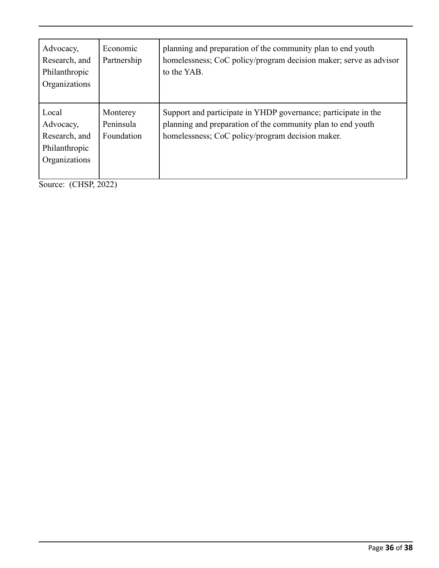| Advocacy,<br>Research, and<br>Philanthropic<br>Organizations          | Economic<br>Partnership             | planning and preparation of the community plan to end youth<br>homelessness; CoC policy/program decision maker; serve as advisor<br>to the YAB.                                   |
|-----------------------------------------------------------------------|-------------------------------------|-----------------------------------------------------------------------------------------------------------------------------------------------------------------------------------|
| Local<br>Advocacy,<br>Research, and<br>Philanthropic<br>Organizations | Monterey<br>Peninsula<br>Foundation | Support and participate in YHDP governance; participate in the<br>planning and preparation of the community plan to end youth<br>homelessness; CoC policy/program decision maker. |

Source: (CHSP, 2022)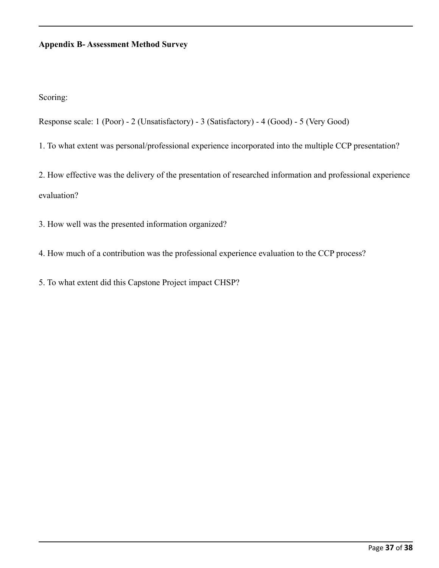#### **Appendix B- Assessment Method Survey**

Scoring:

Response scale: 1 (Poor) - 2 (Unsatisfactory) - 3 (Satisfactory) - 4 (Good) - 5 (Very Good)

1. To what extent was personal/professional experience incorporated into the multiple CCP presentation?

2. How effective was the delivery of the presentation of researched information and professional experience evaluation?

3. How well was the presented information organized?

4. How much of a contribution was the professional experience evaluation to the CCP process?

5. To what extent did this Capstone Project impact CHSP?